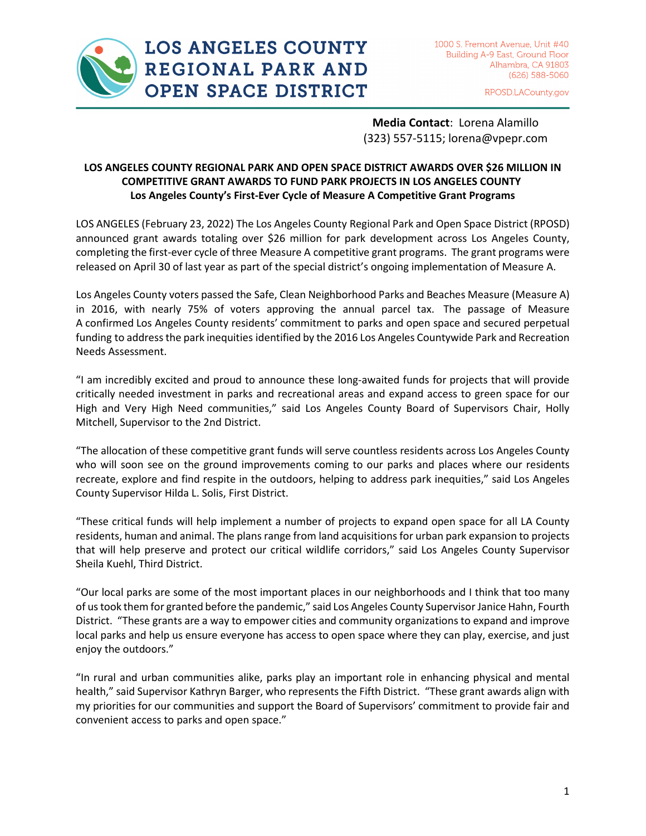

## **LOS ANGELES COUNTY** REGIONAL PARK AND **OPEN SPACE DISTRICT**

RPOSD.LACounty.gov

**Media Contact**: Lorena Alamillo (323) 557-5115; lorena@vpepr.com

### **LOS ANGELES COUNTY REGIONAL PARK AND OPEN SPACE DISTRICT AWARDS OVER \$26 MILLION IN COMPETITIVE GRANT AWARDS TO FUND PARK PROJECTS IN LOS ANGELES COUNTY Los Angeles County's First-Ever Cycle of Measure A Competitive Grant Programs**

LOS ANGELES (February 23, 2022) The Los Angeles County Regional Park and Open Space District (RPOSD) announced grant awards totaling over \$26 million for park development across Los Angeles County, completing the first-ever cycle of three Measure A competitive grant programs. The grant programs were released on April 30 of last year as part of the special district's ongoing implementation of Measure A.

Los Angeles County voters passed the Safe, Clean Neighborhood Parks and Beaches Measure (Measure A) in 2016, with nearly 75% of voters approving the annual parcel tax. The passage of Measure A confirmed Los Angeles County residents' commitment to parks and open space and secured perpetual funding to address the park inequities identified by the 2016 Los Angeles Countywide Park and Recreation Needs Assessment.

"I am incredibly excited and proud to announce these long-awaited funds for projects that will provide critically needed investment in parks and recreational areas and expand access to green space for our High and Very High Need communities," said Los Angeles County Board of Supervisors Chair, Holly Mitchell, Supervisor to the 2nd District.

"The allocation of these competitive grant funds will serve countless residents across Los Angeles County who will soon see on the ground improvements coming to our parks and places where our residents recreate, explore and find respite in the outdoors, helping to address park inequities," said Los Angeles County Supervisor Hilda L. Solis, First District.

"These critical funds will help implement a number of projects to expand open space for all LA County residents, human and animal. The plans range from land acquisitions for urban park expansion to projects that will help preserve and protect our critical wildlife corridors," said Los Angeles County Supervisor Sheila Kuehl, Third District.

"Our local parks are some of the most important places in our neighborhoods and I think that too many of us took them for granted before the pandemic," said Los Angeles County Supervisor Janice Hahn, Fourth District. "These grants are a way to empower cities and community organizations to expand and improve local parks and help us ensure everyone has access to open space where they can play, exercise, and just enjoy the outdoors."

"In rural and urban communities alike, parks play an important role in enhancing physical and mental health," said Supervisor Kathryn Barger, who represents the Fifth District. "These grant awards align with my priorities for our communities and support the Board of Supervisors' commitment to provide fair and convenient access to parks and open space."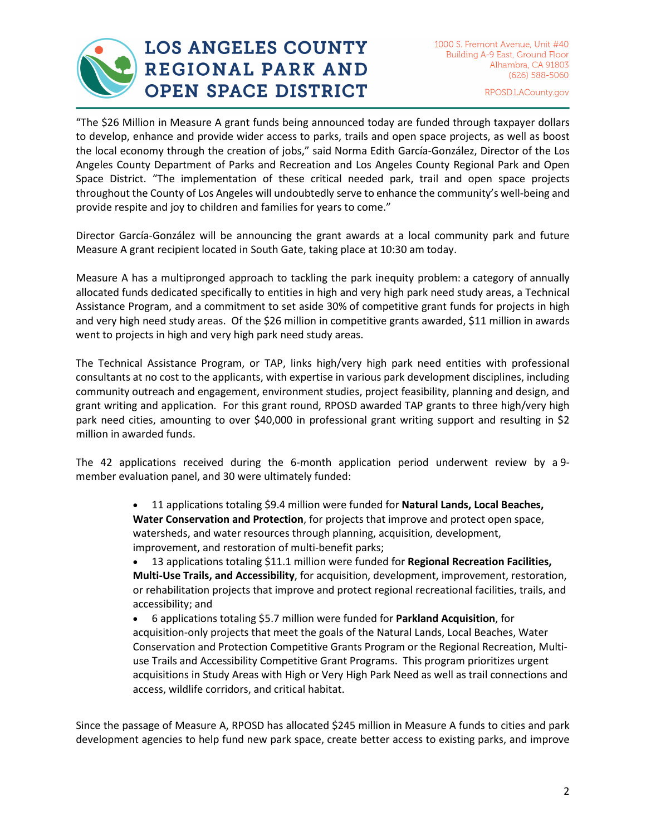

# **LOS ANGELES COUNTY** REGIONAL PARK AND **OPEN SPACE DISTRICT**

RPOSD.LACounty.gov

"The \$26 Million in Measure A grant funds being announced today are funded through taxpayer dollars to develop, enhance and provide wider access to parks, trails and open space projects, as well as boost the local economy through the creation of jobs," said Norma Edith García-González, Director of the Los Angeles County Department of Parks and Recreation and Los Angeles County Regional Park and Open Space District. "The implementation of these critical needed park, trail and open space projects throughout the County of Los Angeles will undoubtedly serve to enhance the community's well-being and provide respite and joy to children and families for years to come."

Director García-González will be announcing the grant awards at a local community park and future Measure A grant recipient located in South Gate, taking place at 10:30 am today.

Measure A has a multipronged approach to tackling the park inequity problem: a category of annually allocated funds dedicated specifically to entities in high and very high park need study areas, a Technical Assistance Program, and a commitment to set aside 30% of competitive grant funds for projects in high and very high need study areas. Of the \$26 million in competitive grants awarded, \$11 million in awards went to projects in high and very high park need study areas.

The Technical Assistance Program, or TAP, links high/very high park need entities with professional consultants at no cost to the applicants, with expertise in various park development disciplines, including community outreach and engagement, environment studies, project feasibility, planning and design, and grant writing and application. For this grant round, RPOSD awarded TAP grants to three high/very high park need cities, amounting to over \$40,000 in professional grant writing support and resulting in \$2 million in awarded funds.

The 42 applications received during the 6-month application period underwent review by a 9 member evaluation panel, and 30 were ultimately funded:

> • 11 applications totaling \$9.4 million were funded for **Natural Lands, Local Beaches, Water Conservation and Protection**, for projects that improve and protect open space, watersheds, and water resources through planning, acquisition, development, improvement, and restoration of multi-benefit parks;

• 13 applications totaling \$11.1 million were funded for **Regional Recreation Facilities, Multi-Use Trails, and Accessibility**, for acquisition, development, improvement, restoration, or rehabilitation projects that improve and protect regional recreational facilities, trails, and accessibility; and

• 6 applications totaling \$5.7 million were funded for **Parkland Acquisition**, for acquisition-only projects that meet the goals of the Natural Lands, Local Beaches, Water Conservation and Protection Competitive Grants Program or the Regional Recreation, Multiuse Trails and Accessibility Competitive Grant Programs. This program prioritizes urgent acquisitions in Study Areas with High or Very High Park Need as well as trail connections and access, wildlife corridors, and critical habitat.

Since the passage of Measure A, RPOSD has allocated \$245 million in Measure A funds to cities and park development agencies to help fund new park space, create better access to existing parks, and improve